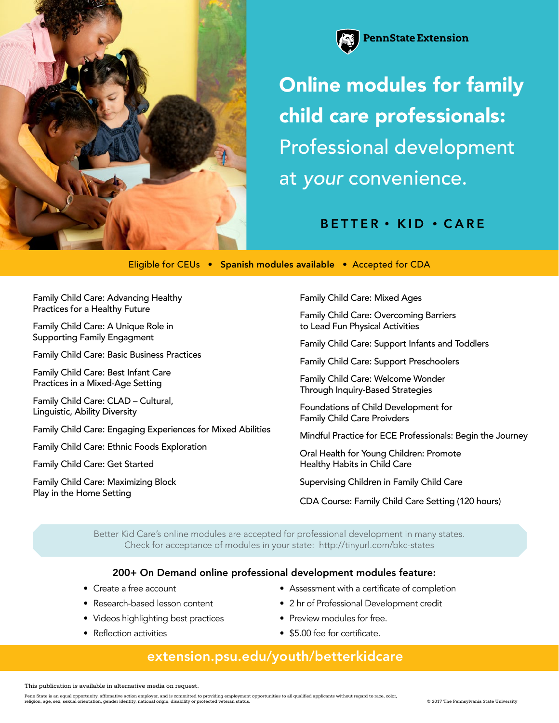



## Online modules for family child care professionals: Professional development at *your* convenience.

**BETTER** · KID · CARE

Eligible for CEUs • Spanish modules available • Accepted for CDA

Family Child Care: Advancing Healthy Practices for a Healthy Future

Family Child Care: A Unique Role in Supporting Family Engagment

Family Child Care: Basic Business Practices

Family Child Care: Best Infant Care Practices in a Mixed-Age Setting

Family Child Care: CLAD – Cultural, Linguistic, Ability Diversity

Family Child Care: Engaging Experiences for Mixed Abilities

Family Child Care: Ethnic Foods Exploration

Family Child Care: Get Started

Family Child Care: Maximizing Block Play in the Home Setting

Family Child Care: Mixed Ages

Family Child Care: Overcoming Barriers to Lead Fun Physical Activities

Family Child Care: Support Infants and Toddlers

Family Child Care: Support Preschoolers

Family Child Care: Welcome Wonder Through Inquiry-Based Strategies

Foundations of Child Development for Family Child Care Proivders

Mindful Practice for ECE Professionals: Begin the Journey

Oral Health for Young Children: Promote Healthy Habits in Child Care

Supervising Children in Family Child Care

CDA Course: Family Child Care Setting (120 hours)

[Better Kid Care's online modules are accepted for professional development in many states.](http://tinyurl.com/bkc-states)  Check for acceptance of modules in your state: http://tinyurl.com/bkc-states

## 200+ On Demand online professional development modules feature:

- Create a free account
- Research-based lesson content
- Videos highlighting best practices
- Reflection activities
- Assessment with a certificate of completion
- 2 hr of Professional Development credit
- Preview modules for free.
- \$5.00 fee for certificate.

## [extension.psu.edu/youth/betterkidcare](http://extension.psu.edu/youth/betterkidcare)

This publication is available in alternative media on request.

Penn State is an equal opportunity, affirmative action employer, and is committed to providing employment opportunities to all qualified applicants without regard to race, color, © 2017 The Pennsylvania State University<br>re